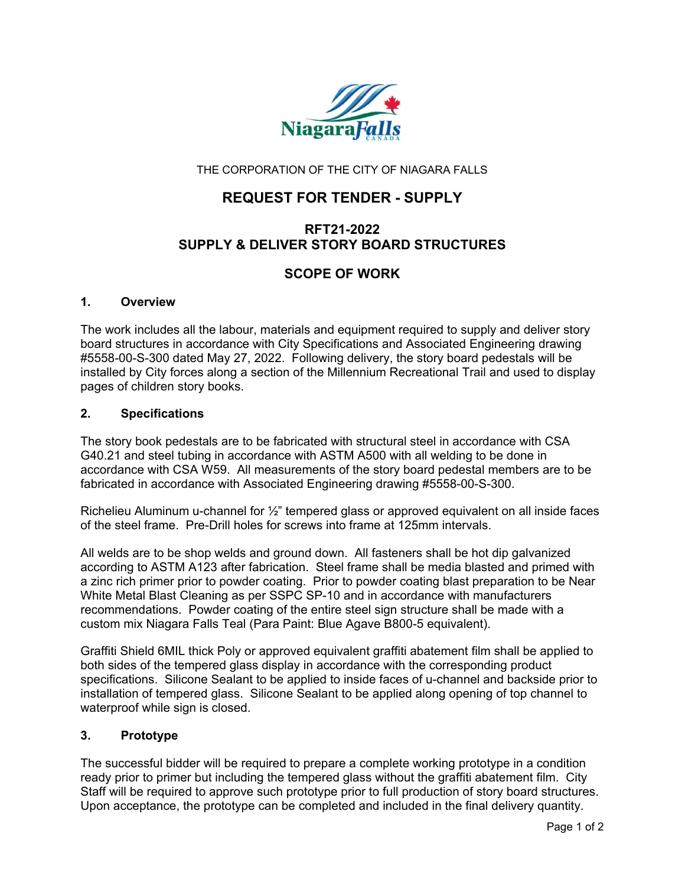

THE CORPORATION OF THE CITY OF NIAGARA FALLS

# **REQUEST FOR TENDER - SUPPLY**

# **RFT21-2022 SUPPLY & DELIVER STORY BOARD STRUCTURES**

# **SCOPE OF WORK**

### **1. Overview**

The work includes all the labour, materials and equipment required to supply and deliver story board structures in accordance with City Specifications and Associated Engineering drawing #5558-00-S-300 dated May 27, 2022. Following delivery, the story board pedestals will be installed by City forces along a section of the Millennium Recreational Trail and used to display pages of children story books.

### **2. Specifications**

The story book pedestals are to be fabricated with structural steel in accordance with CSA G40.21 and steel tubing in accordance with ASTM A500 with all welding to be done in accordance with CSA W59. All measurements of the story board pedestal members are to be fabricated in accordance with Associated Engineering drawing #5558-00-S-300.

Richelieu Aluminum u-channel for ½" tempered glass or approved equivalent on all inside faces of the steel frame. Pre-Drill holes for screws into frame at 125mm intervals.

All welds are to be shop welds and ground down. All fasteners shall be hot dip galvanized according to ASTM A123 after fabrication. Steel frame shall be media blasted and primed with a zinc rich primer prior to powder coating. Prior to powder coating blast preparation to be Near White Metal Blast Cleaning as per SSPC SP-10 and in accordance with manufacturers recommendations. Powder coating of the entire steel sign structure shall be made with a custom mix Niagara Falls Teal (Para Paint: Blue Agave B800-5 equivalent).

Graffiti Shield 6MIL thick Poly or approved equivalent graffiti abatement film shall be applied to both sides of the tempered glass display in accordance with the corresponding product specifications. Silicone Sealant to be applied to inside faces of u-channel and backside prior to installation of tempered glass. Silicone Sealant to be applied along opening of top channel to waterproof while sign is closed.

### **3. Prototype**

The successful bidder will be required to prepare a complete working prototype in a condition ready prior to primer but including the tempered glass without the graffiti abatement film. City Staff will be required to approve such prototype prior to full production of story board structures. Upon acceptance, the prototype can be completed and included in the final delivery quantity.